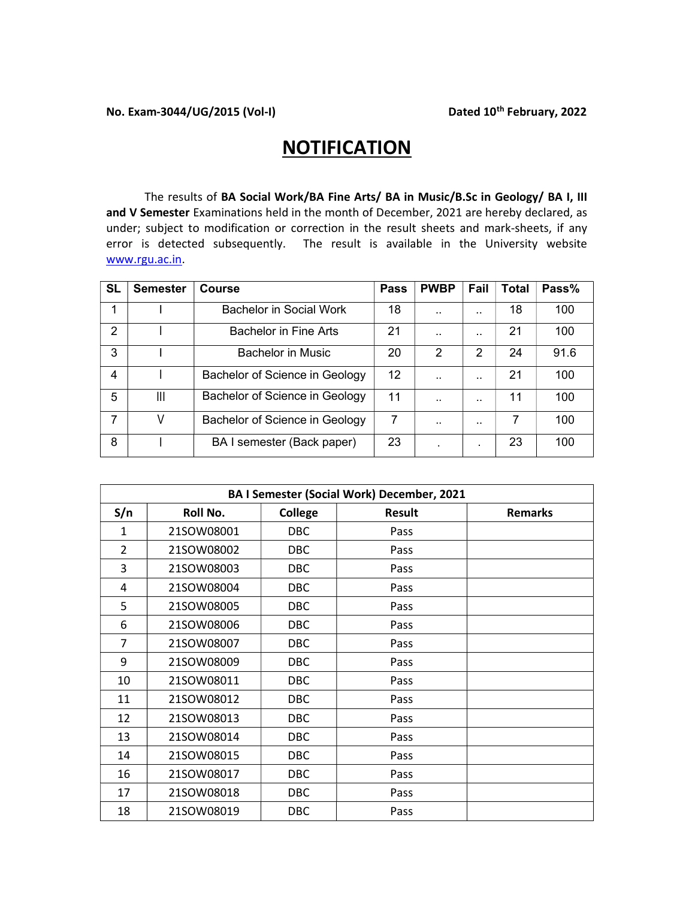## **NOTIFICATION**

The results of BA Social Work/BA Fine Arts/ BA in Music/B.Sc in Geology/ BA I, III and V Semester Examinations held in the month of December, 2021 are hereby declared, as under; subject to modification or correction in the result sheets and mark-sheets, if any error is detected subsequently. The result is available in the University website www.rgu.ac.in.

| <b>SL</b> | <b>Semester</b> | <b>Course</b>                  | <b>Pass</b> | <b>PWBP</b>          | Fail                 | <b>Total</b> | Pass% |
|-----------|-----------------|--------------------------------|-------------|----------------------|----------------------|--------------|-------|
|           |                 | Bachelor in Social Work        | 18          | $\ddot{\phantom{a}}$ |                      | 18           | 100   |
| 2         |                 | Bachelor in Fine Arts          | 21          | $\ddotsc$            |                      | 21           | 100   |
| 3         |                 | <b>Bachelor in Music</b>       | 20          | 2                    | 2                    | 24           | 91.6  |
| 4         |                 | Bachelor of Science in Geology | 12          | $\ddot{\phantom{a}}$ | $\ddot{\phantom{0}}$ | 21           | 100   |
| 5         | Ш               | Bachelor of Science in Geology | 11          | $\ddot{\phantom{a}}$ | $\ddot{\phantom{0}}$ | 11           | 100   |
| 7         |                 | Bachelor of Science in Geology | 7           | $\ddot{\phantom{a}}$ | $\ddot{\phantom{0}}$ |              | 100   |
| 8         |                 | BA I semester (Back paper)     | 23          | ٠                    | ٠                    | 23           | 100   |

| <b>BA I Semester (Social Work) December, 2021</b> |            |                |               |                |  |
|---------------------------------------------------|------------|----------------|---------------|----------------|--|
| S/n                                               | Roll No.   | <b>College</b> | <b>Result</b> | <b>Remarks</b> |  |
| 1                                                 | 21SOW08001 | DBC.           | Pass          |                |  |
| $\overline{2}$                                    | 21SOW08002 | <b>DBC</b>     | Pass          |                |  |
| 3                                                 | 21SOW08003 | <b>DBC</b>     | Pass          |                |  |
| 4                                                 | 21SOW08004 | <b>DBC</b>     | Pass          |                |  |
| 5                                                 | 21SOW08005 | <b>DBC</b>     | Pass          |                |  |
| 6                                                 | 21SOW08006 | <b>DBC</b>     | Pass          |                |  |
| 7                                                 | 21SOW08007 | <b>DBC</b>     | Pass          |                |  |
| 9                                                 | 21SOW08009 | DBC            | Pass          |                |  |
| 10                                                | 21SOW08011 | DBC            | Pass          |                |  |
| 11                                                | 21SOW08012 | <b>DBC</b>     | Pass          |                |  |
| 12                                                | 21SOW08013 | <b>DBC</b>     | Pass          |                |  |
| 13                                                | 21SOW08014 | <b>DBC</b>     | Pass          |                |  |
| 14                                                | 21SOW08015 | DBC            | Pass          |                |  |
| 16                                                | 21SOW08017 | <b>DBC</b>     | Pass          |                |  |
| 17                                                | 21SOW08018 | <b>DBC</b>     | Pass          |                |  |
| 18                                                | 21SOW08019 | DBC            | Pass          |                |  |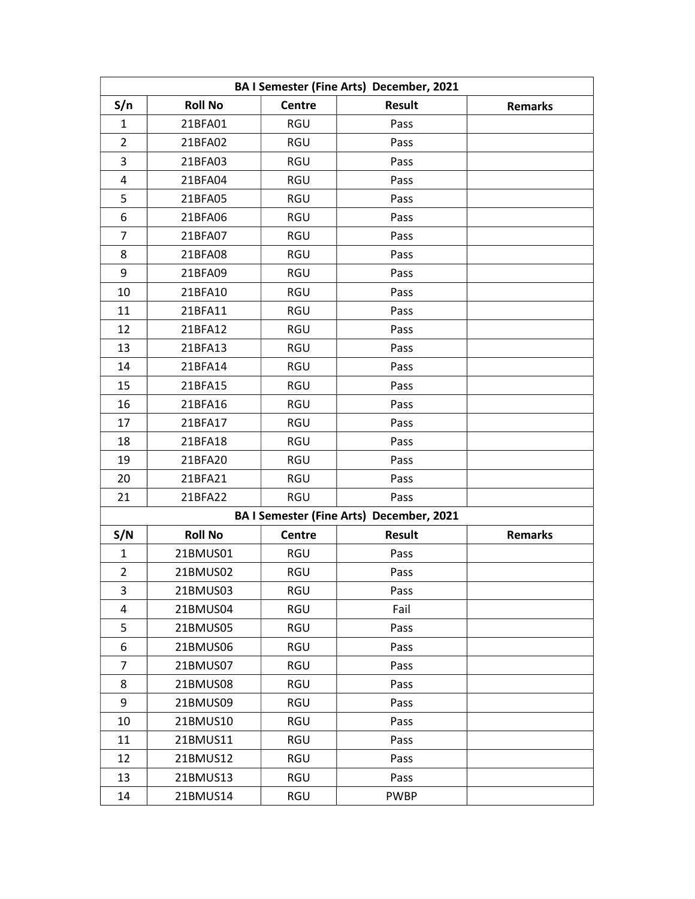| BA I Semester (Fine Arts) December, 2021 |                |               |                                          |                |  |
|------------------------------------------|----------------|---------------|------------------------------------------|----------------|--|
| S/n                                      | <b>Roll No</b> | <b>Centre</b> | Result                                   | <b>Remarks</b> |  |
| 1                                        | 21BFA01        | RGU           | Pass                                     |                |  |
| $\overline{2}$                           | 21BFA02        | RGU           | Pass                                     |                |  |
| 3                                        | 21BFA03        | RGU           | Pass                                     |                |  |
| 4                                        | 21BFA04        | RGU           | Pass                                     |                |  |
| 5                                        | 21BFA05        | RGU           | Pass                                     |                |  |
| 6                                        | 21BFA06        | RGU           | Pass                                     |                |  |
| 7                                        | 21BFA07        | RGU           | Pass                                     |                |  |
| 8                                        | 21BFA08        | RGU           | Pass                                     |                |  |
| 9                                        | 21BFA09        | RGU           | Pass                                     |                |  |
| 10                                       | 21BFA10        | RGU           | Pass                                     |                |  |
| 11                                       | 21BFA11        | RGU           | Pass                                     |                |  |
| 12                                       | 21BFA12        | RGU           | Pass                                     |                |  |
| 13                                       | 21BFA13        | RGU           | Pass                                     |                |  |
| 14                                       | 21BFA14        | RGU           | Pass                                     |                |  |
| 15                                       | 21BFA15        | RGU           | Pass                                     |                |  |
| 16                                       | 21BFA16        | RGU           | Pass                                     |                |  |
| 17                                       | 21BFA17        | RGU           | Pass                                     |                |  |
| 18                                       | 21BFA18        | RGU           | Pass                                     |                |  |
| 19                                       | 21BFA20        | RGU           | Pass                                     |                |  |
| 20                                       | 21BFA21        | RGU           | Pass                                     |                |  |
| 21                                       | 21BFA22        | RGU           | Pass                                     |                |  |
|                                          |                |               | BA I Semester (Fine Arts) December, 2021 |                |  |
| S/N                                      | <b>Roll No</b> | Centre        | <b>Result</b>                            | <b>Remarks</b> |  |
| $\mathbf{1}$                             | 21BMUS01       | <b>RGU</b>    | Pass                                     |                |  |
| $\overline{2}$                           | 21BMUS02       | RGU           | Pass                                     |                |  |
| 3                                        | 21BMUS03       | <b>RGU</b>    | Pass                                     |                |  |
| 4                                        | 21BMUS04       | RGU           | Fail                                     |                |  |
| 5                                        | 21BMUS05       | RGU           | Pass                                     |                |  |
| 6                                        | 21BMUS06       | RGU           | Pass                                     |                |  |
| $\overline{7}$                           | 21BMUS07       | <b>RGU</b>    | Pass                                     |                |  |
| 8                                        | 21BMUS08       | RGU           | Pass                                     |                |  |
| 9                                        | 21BMUS09       | RGU           | Pass                                     |                |  |
| 10                                       | 21BMUS10       | RGU           | Pass                                     |                |  |
| 11                                       | 21BMUS11       | RGU           | Pass                                     |                |  |
| 12                                       | 21BMUS12       | RGU           | Pass                                     |                |  |
| 13                                       | 21BMUS13       | RGU           | Pass                                     |                |  |
| 14                                       | 21BMUS14       | RGU           | <b>PWBP</b>                              |                |  |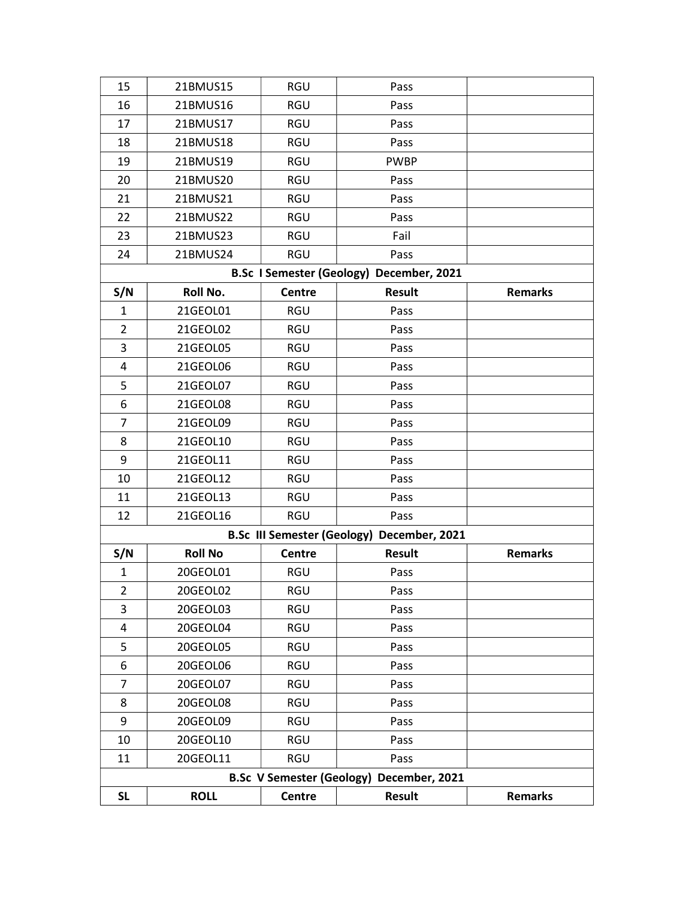| 15                                                 | 21BMUS15                                 | RGU           | Pass                                       |                |  |  |
|----------------------------------------------------|------------------------------------------|---------------|--------------------------------------------|----------------|--|--|
| 16                                                 | 21BMUS16                                 | <b>RGU</b>    | Pass                                       |                |  |  |
| 17                                                 | 21BMUS17                                 | <b>RGU</b>    | Pass                                       |                |  |  |
| 18                                                 | 21BMUS18                                 | <b>RGU</b>    | Pass                                       |                |  |  |
| 19                                                 | 21BMUS19                                 | <b>RGU</b>    | <b>PWBP</b>                                |                |  |  |
| 20                                                 | 21BMUS20                                 | <b>RGU</b>    | Pass                                       |                |  |  |
| 21                                                 | 21BMUS21                                 | <b>RGU</b>    | Pass                                       |                |  |  |
| 22                                                 | 21BMUS22                                 | <b>RGU</b>    | Pass                                       |                |  |  |
| 23                                                 | 21BMUS23                                 | <b>RGU</b>    | Fail                                       |                |  |  |
| 24                                                 | 21BMUS24                                 | <b>RGU</b>    | Pass                                       |                |  |  |
|                                                    | B.Sc I Semester (Geology) December, 2021 |               |                                            |                |  |  |
| S/N                                                | Roll No.                                 | <b>Centre</b> | <b>Result</b>                              | <b>Remarks</b> |  |  |
| 1                                                  | 21GEOL01                                 | <b>RGU</b>    | Pass                                       |                |  |  |
| $\overline{2}$                                     | 21GEOL02                                 | <b>RGU</b>    | Pass                                       |                |  |  |
| 3                                                  | 21GEOL05                                 | <b>RGU</b>    | Pass                                       |                |  |  |
| $\overline{\mathbf{4}}$                            | 21GEOL06                                 | <b>RGU</b>    | Pass                                       |                |  |  |
| 5                                                  | 21GEOL07                                 | <b>RGU</b>    | Pass                                       |                |  |  |
| 6                                                  | 21GEOL08                                 | <b>RGU</b>    | Pass                                       |                |  |  |
| 7                                                  | 21GEOL09                                 | <b>RGU</b>    | Pass                                       |                |  |  |
| 8                                                  | 21GEOL10                                 | <b>RGU</b>    | Pass                                       |                |  |  |
| 9                                                  | 21GEOL11                                 | <b>RGU</b>    | Pass                                       |                |  |  |
| 10                                                 | 21GEOL12                                 | RGU           | Pass                                       |                |  |  |
| 11                                                 | 21GEOL13                                 | <b>RGU</b>    | Pass                                       |                |  |  |
| 12                                                 | 21GEOL16                                 | <b>RGU</b>    | Pass                                       |                |  |  |
|                                                    |                                          |               | B.Sc III Semester (Geology) December, 2021 |                |  |  |
| S/N                                                | <b>Roll No</b>                           | Centre        | Result                                     | <b>Remarks</b> |  |  |
| 1                                                  | 20GEOL01                                 | <b>RGU</b>    | Pass                                       |                |  |  |
| $\overline{2}$                                     | 20GEOL02                                 | <b>RGU</b>    | Pass                                       |                |  |  |
| 3                                                  | 20GEOL03                                 | <b>RGU</b>    | Pass                                       |                |  |  |
| 4                                                  | 20GEOL04                                 | RGU           | Pass                                       |                |  |  |
| 5                                                  | 20GEOL05                                 | RGU           | Pass                                       |                |  |  |
| 6                                                  | 20GEOL06                                 | RGU           | Pass                                       |                |  |  |
| 7                                                  | 20GEOL07                                 | <b>RGU</b>    | Pass                                       |                |  |  |
| 8                                                  | 20GEOL08                                 | <b>RGU</b>    | Pass                                       |                |  |  |
| 9                                                  | 20GEOL09                                 | <b>RGU</b>    | Pass                                       |                |  |  |
| 10                                                 | 20GEOL10                                 | RGU           | Pass                                       |                |  |  |
| 11                                                 | 20GEOL11                                 | <b>RGU</b>    | Pass                                       |                |  |  |
| <b>B.Sc V Semester (Geology)</b><br>December, 2021 |                                          |               |                                            |                |  |  |
| <b>SL</b>                                          | <b>ROLL</b>                              | Centre        | <b>Result</b>                              | <b>Remarks</b> |  |  |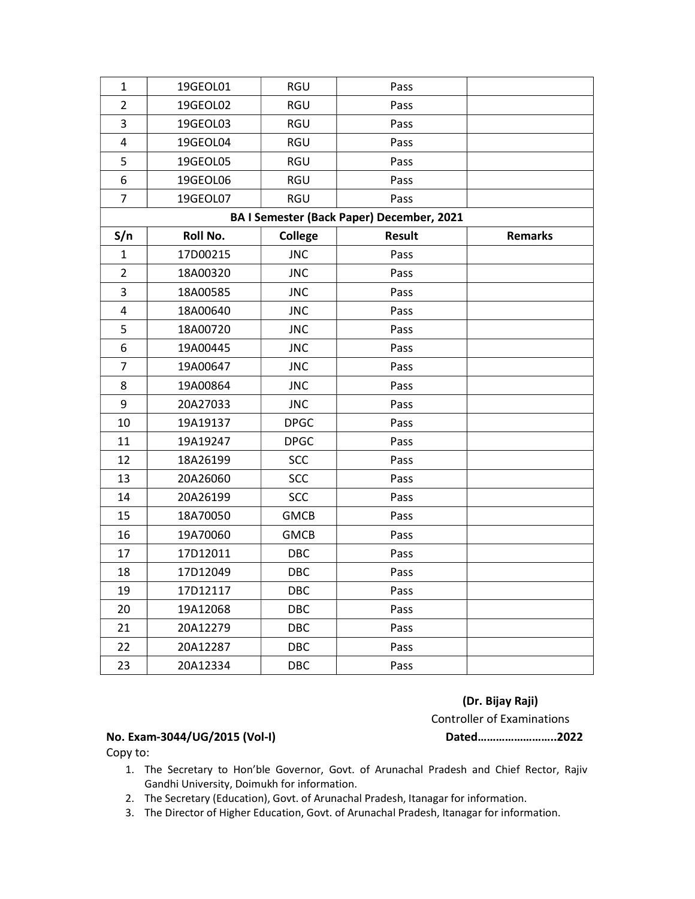| 19GEOL01                                         | RGU            | Pass          |                |  |  |  |  |
|--------------------------------------------------|----------------|---------------|----------------|--|--|--|--|
| 19GEOL02                                         | <b>RGU</b>     | Pass          |                |  |  |  |  |
| 19GEOL03                                         | RGU            | Pass          |                |  |  |  |  |
| 19GEOL04                                         | RGU            | Pass          |                |  |  |  |  |
| 19GEOL05                                         | RGU            | Pass          |                |  |  |  |  |
| 19GEOL06                                         | RGU            | Pass          |                |  |  |  |  |
| 19GEOL07                                         | RGU            | Pass          |                |  |  |  |  |
| <b>BA I Semester (Back Paper) December, 2021</b> |                |               |                |  |  |  |  |
| Roll No.                                         | <b>College</b> | <b>Result</b> | <b>Remarks</b> |  |  |  |  |
| 17D00215                                         | <b>JNC</b>     | Pass          |                |  |  |  |  |
| 18A00320                                         | <b>JNC</b>     | Pass          |                |  |  |  |  |
| 18A00585                                         | <b>JNC</b>     | Pass          |                |  |  |  |  |
| 18A00640                                         | <b>JNC</b>     | Pass          |                |  |  |  |  |
| 18A00720                                         | <b>JNC</b>     | Pass          |                |  |  |  |  |
| 19A00445                                         | <b>JNC</b>     | Pass          |                |  |  |  |  |
| 19A00647                                         | <b>JNC</b>     | Pass          |                |  |  |  |  |
| 19A00864                                         | <b>JNC</b>     | Pass          |                |  |  |  |  |
| 20A27033                                         | <b>JNC</b>     | Pass          |                |  |  |  |  |
| 19A19137                                         | <b>DPGC</b>    | Pass          |                |  |  |  |  |
| 19A19247                                         | <b>DPGC</b>    | Pass          |                |  |  |  |  |
| 18A26199                                         | <b>SCC</b>     | Pass          |                |  |  |  |  |
| 20A26060                                         | <b>SCC</b>     | Pass          |                |  |  |  |  |
| 20A26199                                         | <b>SCC</b>     | Pass          |                |  |  |  |  |
| 18A70050                                         | <b>GMCB</b>    | Pass          |                |  |  |  |  |
| 19A70060                                         | <b>GMCB</b>    | Pass          |                |  |  |  |  |
| 17D12011                                         | <b>DBC</b>     | Pass          |                |  |  |  |  |
| 17D12049                                         | DBC            | Pass          |                |  |  |  |  |
| 17D12117                                         | DBC            | Pass          |                |  |  |  |  |
| 19A12068                                         | DBC            | Pass          |                |  |  |  |  |
| 20A12279                                         | <b>DBC</b>     | Pass          |                |  |  |  |  |
| 20A12287                                         | <b>DBC</b>     | Pass          |                |  |  |  |  |
| 20A12334                                         | <b>DBC</b>     | Pass          |                |  |  |  |  |
|                                                  |                |               |                |  |  |  |  |

## (Dr. Bijay Raji)

Controller of Examinations

## No. Exam-3044/UG/2015 (Vol-I) Dated……………………..2022

Copy to:

- 1. The Secretary to Hon'ble Governor, Govt. of Arunachal Pradesh and Chief Rector, Rajiv Gandhi University, Doimukh for information.
- 2. The Secretary (Education), Govt. of Arunachal Pradesh, Itanagar for information.
- 3. The Director of Higher Education, Govt. of Arunachal Pradesh, Itanagar for information.